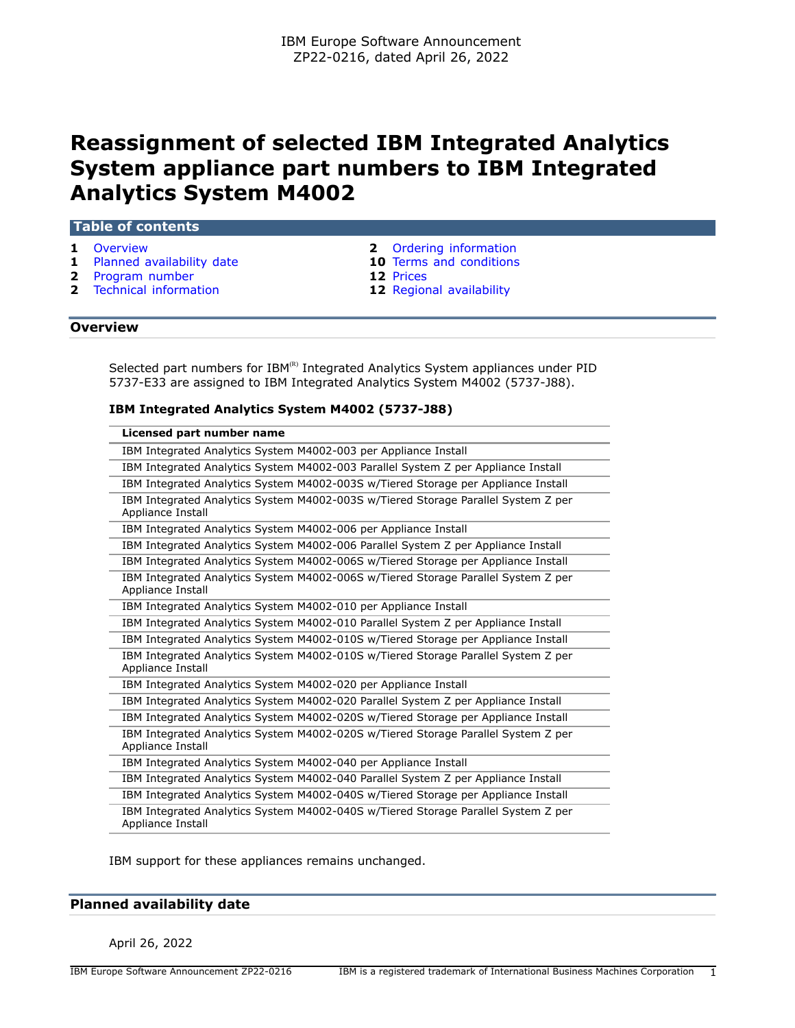# **Reassignment of selected IBM Integrated Analytics System appliance part numbers to IBM Integrated Analytics System M4002**

#### **Table of contents**

- 
- **1** [Planned availability date](#page-0-1) **10** [Terms and conditions](#page-9-0)
- **2** [Program number](#page-1-1) **12** [Prices](#page-11-0)
- **1** [Overview](#page-0-0) **2** [Ordering information](#page-1-0)
	-
	-
- **2** [Technical information](#page-1-2) **12** [Regional availability](#page-11-1)

#### <span id="page-0-0"></span>**Overview**

Selected part numbers for  $IBM^{(R)}$  Integrated Analytics System appliances under PID 5737-E33 are assigned to IBM Integrated Analytics System M4002 (5737-J88).

## **IBM Integrated Analytics System M4002 (5737-J88)**

| Licensed part number name                                                                              |
|--------------------------------------------------------------------------------------------------------|
| IBM Integrated Analytics System M4002-003 per Appliance Install                                        |
| IBM Integrated Analytics System M4002-003 Parallel System Z per Appliance Install                      |
| IBM Integrated Analytics System M4002-003S w/Tiered Storage per Appliance Install                      |
| IBM Integrated Analytics System M4002-003S w/Tiered Storage Parallel System Z per<br>Appliance Install |
| IBM Integrated Analytics System M4002-006 per Appliance Install                                        |
| IBM Integrated Analytics System M4002-006 Parallel System Z per Appliance Install                      |
| IBM Integrated Analytics System M4002-006S w/Tiered Storage per Appliance Install                      |
| IBM Integrated Analytics System M4002-006S w/Tiered Storage Parallel System Z per<br>Appliance Install |
| IBM Integrated Analytics System M4002-010 per Appliance Install                                        |
| IBM Integrated Analytics System M4002-010 Parallel System Z per Appliance Install                      |
| IBM Integrated Analytics System M4002-010S w/Tiered Storage per Appliance Install                      |
| IBM Integrated Analytics System M4002-010S w/Tiered Storage Parallel System Z per<br>Appliance Install |
| IBM Integrated Analytics System M4002-020 per Appliance Install                                        |
| IBM Integrated Analytics System M4002-020 Parallel System Z per Appliance Install                      |
| IBM Integrated Analytics System M4002-020S w/Tiered Storage per Appliance Install                      |
| IBM Integrated Analytics System M4002-020S w/Tiered Storage Parallel System Z per<br>Appliance Install |
| IBM Integrated Analytics System M4002-040 per Appliance Install                                        |
| IBM Integrated Analytics System M4002-040 Parallel System Z per Appliance Install                      |
| IBM Integrated Analytics System M4002-040S w/Tiered Storage per Appliance Install                      |
| IBM Integrated Analytics System M4002-040S w/Tiered Storage Parallel System Z per<br>Appliance Install |

IBM support for these appliances remains unchanged.

## <span id="page-0-1"></span>**Planned availability date**

April 26, 2022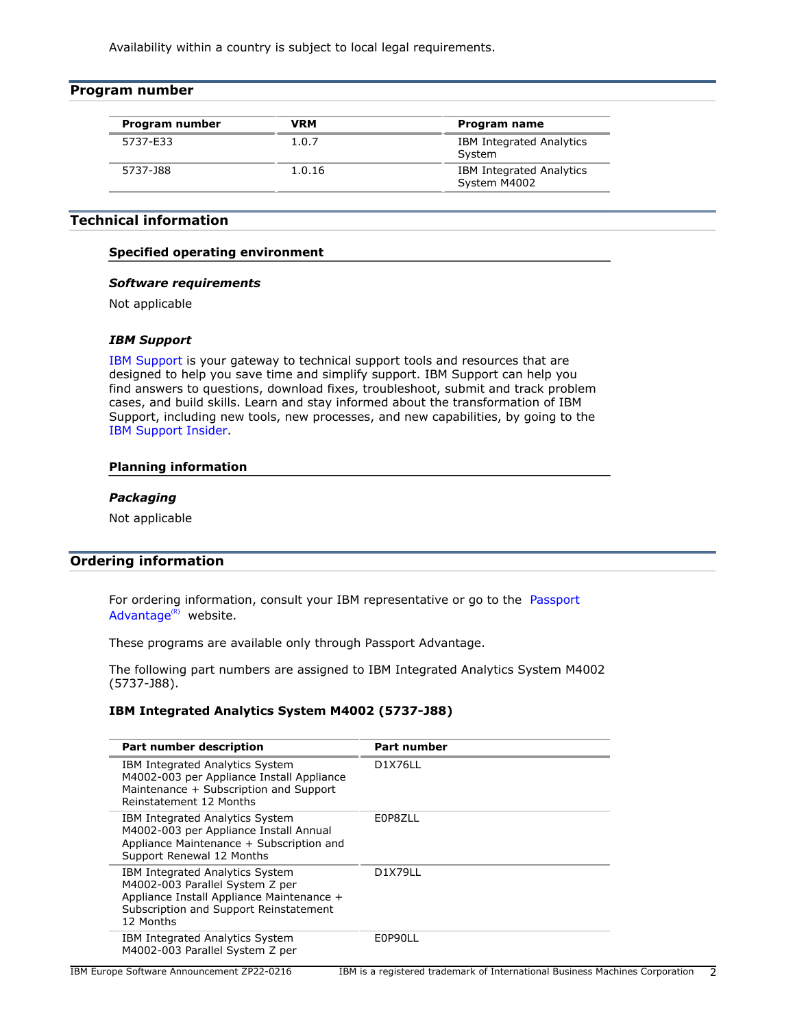Availability within a country is subject to local legal requirements.

<span id="page-1-1"></span>

| Program number |            |                                           |
|----------------|------------|-------------------------------------------|
| Program number | <b>VRM</b> | Program name                              |
| 5737-E33       | 1.0.7      | <b>IBM Integrated Analytics</b><br>System |
| 5737-J88       | 1.0.16     | IBM Integrated Analytics<br>System M4002  |

## <span id="page-1-2"></span>**Technical information**

## **Specified operating environment**

#### *Software requirements*

Not applicable

## *IBM Support*

[IBM Support](https://www.ibm.com/support) is your gateway to technical support tools and resources that are designed to help you save time and simplify support. IBM Support can help you find answers to questions, download fixes, troubleshoot, submit and track problem cases, and build skills. Learn and stay informed about the transformation of IBM Support, including new tools, new processes, and new capabilities, by going to the [IBM Support Insider](https://www.ibm.com/support/insider).

## **Planning information**

#### *Packaging*

Not applicable

## <span id="page-1-0"></span>**Ordering information**

For ordering information, consult your IBM representative or go to the [Passport](https://www.ibm.com/software/passportadvantage/) [Advantage](https://www.ibm.com/software/passportadvantage/) $(R)$  website.

These programs are available only through Passport Advantage.

The following part numbers are assigned to IBM Integrated Analytics System M4002 (5737-J88).

## **IBM Integrated Analytics System M4002 (5737-J88)**

| Part number description                                                                                                                                                | Part number    |
|------------------------------------------------------------------------------------------------------------------------------------------------------------------------|----------------|
| IBM Integrated Analytics System<br>M4002-003 per Appliance Install Appliance<br>Maintenance + Subscription and Support<br>Reinstatement 12 Months                      | <b>D1X76LL</b> |
| IBM Integrated Analytics System<br>M4002-003 per Appliance Install Annual<br>Appliance Maintenance + Subscription and<br>Support Renewal 12 Months                     | E0P8ZLL        |
| IBM Integrated Analytics System<br>M4002-003 Parallel System Z per<br>Appliance Install Appliance Maintenance +<br>Subscription and Support Reinstatement<br>12 Months | D1X79LL        |
| IBM Integrated Analytics System<br>M4002-003 Parallel System Z per                                                                                                     | E0P90LL        |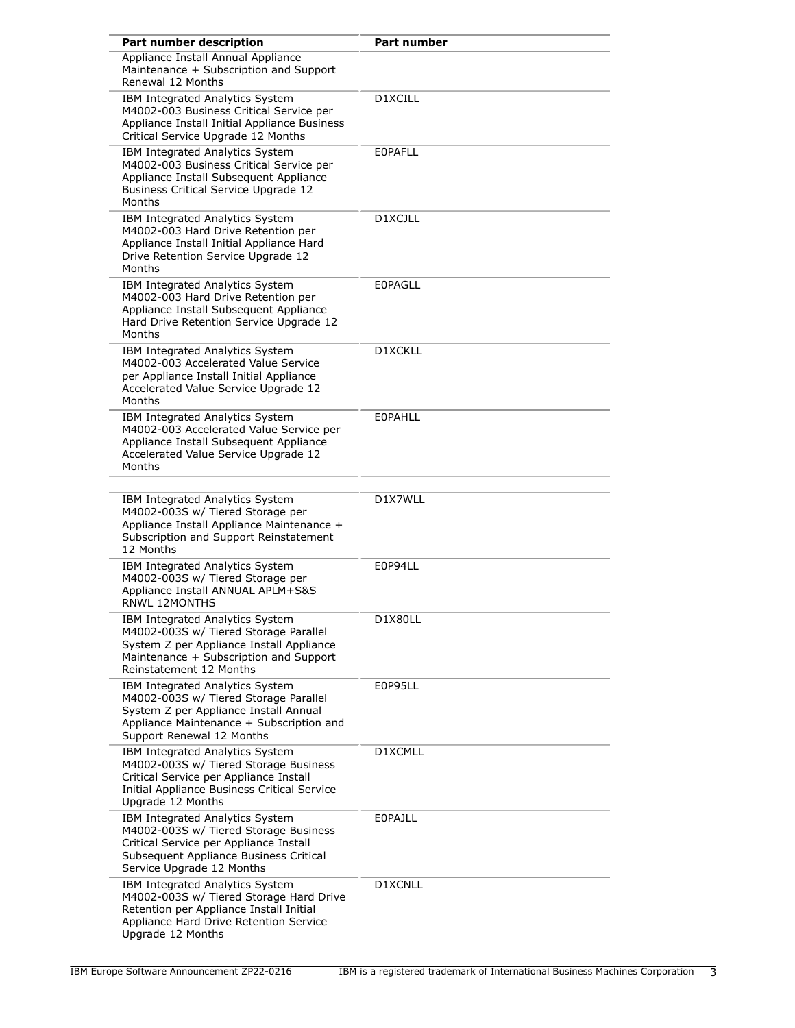| Part number description                                                                                                                                                                    | <b>Part number</b> |
|--------------------------------------------------------------------------------------------------------------------------------------------------------------------------------------------|--------------------|
| Appliance Install Annual Appliance<br>Maintenance + Subscription and Support<br>Renewal 12 Months                                                                                          |                    |
| IBM Integrated Analytics System<br>M4002-003 Business Critical Service per<br>Appliance Install Initial Appliance Business<br>Critical Service Upgrade 12 Months                           | D1XCILL            |
| IBM Integrated Analytics System<br>M4002-003 Business Critical Service per<br>Appliance Install Subsequent Appliance<br>Business Critical Service Upgrade 12<br>Months                     | <b>EOPAFLL</b>     |
| IBM Integrated Analytics System<br>M4002-003 Hard Drive Retention per<br>Appliance Install Initial Appliance Hard<br>Drive Retention Service Upgrade 12<br>Months                          | D1XCJLL            |
| IBM Integrated Analytics System<br>M4002-003 Hard Drive Retention per<br>Appliance Install Subsequent Appliance<br>Hard Drive Retention Service Upgrade 12<br>Months                       | <b>EOPAGLL</b>     |
| IBM Integrated Analytics System<br>M4002-003 Accelerated Value Service<br>per Appliance Install Initial Appliance<br>Accelerated Value Service Upgrade 12<br>Months                        | D1XCKLL            |
| IBM Integrated Analytics System<br>M4002-003 Accelerated Value Service per<br>Appliance Install Subsequent Appliance<br>Accelerated Value Service Upgrade 12<br>Months                     | <b>EOPAHLL</b>     |
| IBM Integrated Analytics System<br>M4002-003S w/ Tiered Storage per<br>Appliance Install Appliance Maintenance +<br>Subscription and Support Reinstatement<br>12 Months                    | D1X7WLL            |
| IBM Integrated Analytics System<br>M4002-003S w/ Tiered Storage per<br>Appliance Install ANNUAL APLM+S&S<br><b>RNWL 12MONTHS</b>                                                           | E0P94LL            |
| IBM Integrated Analytics System<br>M4002-003S w/ Tiered Storage Parallel<br>System Z per Appliance Install Appliance<br>Maintenance + Subscription and Support<br>Reinstatement 12 Months  | D1X80LL            |
| IBM Integrated Analytics System<br>M4002-003S w/ Tiered Storage Parallel<br>System Z per Appliance Install Annual<br>Appliance Maintenance + Subscription and<br>Support Renewal 12 Months | E0P95LL            |
| IBM Integrated Analytics System<br>M4002-003S w/ Tiered Storage Business<br>Critical Service per Appliance Install<br>Initial Appliance Business Critical Service<br>Upgrade 12 Months     | D1XCMLL            |
| IBM Integrated Analytics System<br>M4002-003S w/ Tiered Storage Business<br>Critical Service per Appliance Install<br>Subsequent Appliance Business Critical<br>Service Upgrade 12 Months  | <b>EOPAJLL</b>     |
| IBM Integrated Analytics System<br>M4002-003S w/ Tiered Storage Hard Drive<br>Retention per Appliance Install Initial<br>Appliance Hard Drive Retention Service<br>Upgrade 12 Months       | D1XCNLL            |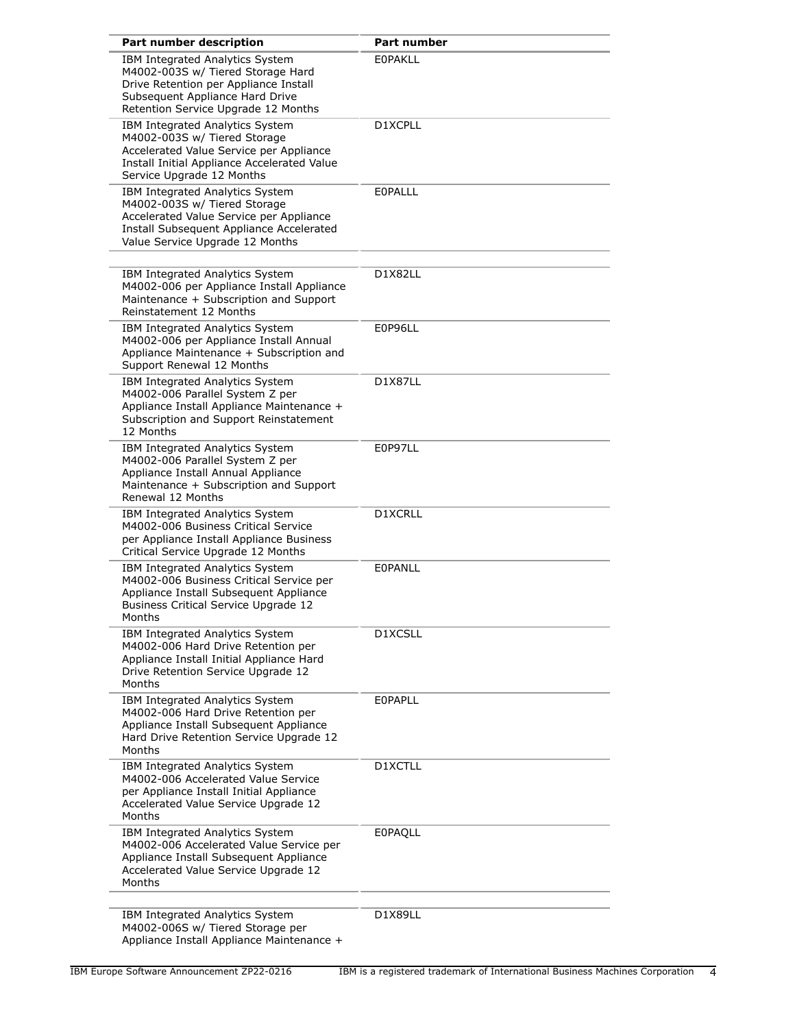| Part number description                                                                                                                                                                   | <b>Part number</b> |
|-------------------------------------------------------------------------------------------------------------------------------------------------------------------------------------------|--------------------|
| IBM Integrated Analytics System<br>M4002-003S w/ Tiered Storage Hard<br>Drive Retention per Appliance Install<br>Subsequent Appliance Hard Drive<br>Retention Service Upgrade 12 Months   | <b>EOPAKLL</b>     |
| IBM Integrated Analytics System<br>M4002-003S w/ Tiered Storage<br>Accelerated Value Service per Appliance<br>Install Initial Appliance Accelerated Value<br>Service Upgrade 12 Months    | D1XCPLL            |
| IBM Integrated Analytics System<br>M4002-003S w/ Tiered Storage<br>Accelerated Value Service per Appliance<br>Install Subsequent Appliance Accelerated<br>Value Service Upgrade 12 Months | EOPALLL            |
| IBM Integrated Analytics System<br>M4002-006 per Appliance Install Appliance<br>Maintenance + Subscription and Support<br>Reinstatement 12 Months                                         | D1X82LL            |
| IBM Integrated Analytics System<br>M4002-006 per Appliance Install Annual<br>Appliance Maintenance + Subscription and<br>Support Renewal 12 Months                                        | E0P96LL            |
| IBM Integrated Analytics System<br>M4002-006 Parallel System Z per<br>Appliance Install Appliance Maintenance +<br>Subscription and Support Reinstatement<br>12 Months                    | D1X87LL            |
| IBM Integrated Analytics System<br>M4002-006 Parallel System Z per<br>Appliance Install Annual Appliance<br>Maintenance + Subscription and Support<br>Renewal 12 Months                   | E0P97LL            |
| IBM Integrated Analytics System<br>M4002-006 Business Critical Service<br>per Appliance Install Appliance Business<br>Critical Service Upgrade 12 Months                                  | D1XCRLL            |
| IBM Integrated Analytics System<br>M4002-006 Business Critical Service per<br>Appliance Install Subsequent Appliance<br>Business Critical Service Upgrade 12<br>Months                    | EOPANLL            |
| IBM Integrated Analytics System<br>M4002-006 Hard Drive Retention per<br>Appliance Install Initial Appliance Hard<br>Drive Retention Service Upgrade 12<br>Months                         | D1XCSLL            |
| IBM Integrated Analytics System<br>M4002-006 Hard Drive Retention per<br>Appliance Install Subsequent Appliance<br>Hard Drive Retention Service Upgrade 12<br>Months                      | <b>EOPAPLL</b>     |
| IBM Integrated Analytics System<br>M4002-006 Accelerated Value Service<br>per Appliance Install Initial Appliance<br>Accelerated Value Service Upgrade 12<br>Months                       | D1XCTLL            |
| IBM Integrated Analytics System<br>M4002-006 Accelerated Value Service per<br>Appliance Install Subsequent Appliance<br>Accelerated Value Service Upgrade 12<br>Months                    | <b>EOPAQLL</b>     |
| IBM Integrated Analytics System<br>M4002-006S w/ Tiered Storage per<br>Appliance Install Appliance Maintenance +                                                                          | D1X89LL            |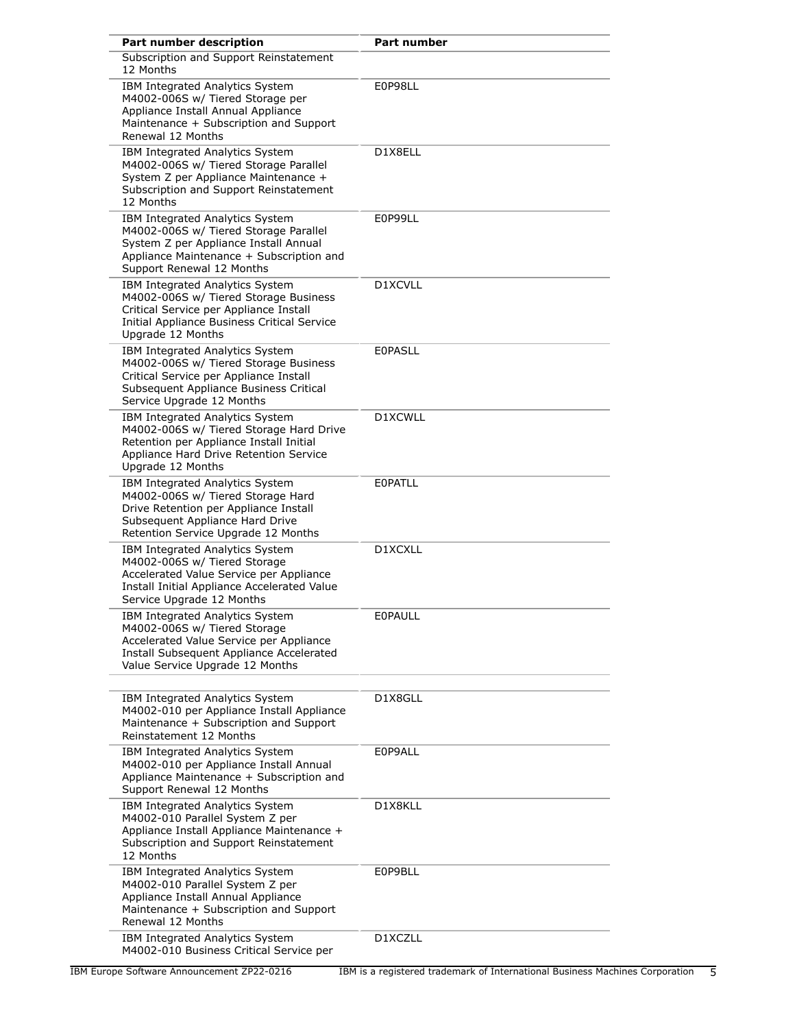| Part number description                                                                                                                                                                    | <b>Part number</b> |
|--------------------------------------------------------------------------------------------------------------------------------------------------------------------------------------------|--------------------|
| Subscription and Support Reinstatement<br>12 Months                                                                                                                                        |                    |
| IBM Integrated Analytics System<br>M4002-006S w/ Tiered Storage per<br>Appliance Install Annual Appliance<br>Maintenance + Subscription and Support<br>Renewal 12 Months                   | E0P98LL            |
| IBM Integrated Analytics System<br>M4002-006S w/ Tiered Storage Parallel<br>System Z per Appliance Maintenance +<br>Subscription and Support Reinstatement<br>12 Months                    | D1X8ELL            |
| IBM Integrated Analytics System<br>M4002-006S w/ Tiered Storage Parallel<br>System Z per Appliance Install Annual<br>Appliance Maintenance + Subscription and<br>Support Renewal 12 Months | E0P99LL            |
| IBM Integrated Analytics System<br>M4002-006S w/ Tiered Storage Business<br>Critical Service per Appliance Install<br>Initial Appliance Business Critical Service<br>Uparade 12 Months     | D1XCVLL            |
| IBM Integrated Analytics System<br>M4002-006S w/ Tiered Storage Business<br>Critical Service per Appliance Install<br>Subsequent Appliance Business Critical<br>Service Upgrade 12 Months  | <b>EOPASLL</b>     |
| IBM Integrated Analytics System<br>M4002-006S w/ Tiered Storage Hard Drive<br>Retention per Appliance Install Initial<br>Appliance Hard Drive Retention Service<br>Upgrade 12 Months       | D1XCWLL            |
| IBM Integrated Analytics System<br>M4002-006S w/ Tiered Storage Hard<br>Drive Retention per Appliance Install<br>Subsequent Appliance Hard Drive<br>Retention Service Upgrade 12 Months    | EOPATLL            |
| IBM Integrated Analytics System<br>M4002-006S w/ Tiered Storage<br>Accelerated Value Service per Appliance<br>Install Initial Appliance Accelerated Value<br>Service Upgrade 12 Months     | D1XCXLL            |
| IBM Integrated Analytics System<br>M4002-006S w/ Tiered Storage<br>Accelerated Value Service per Appliance<br>Install Subsequent Appliance Accelerated<br>Value Service Upgrade 12 Months  | <b>EOPAULL</b>     |
| IBM Integrated Analytics System<br>M4002-010 per Appliance Install Appliance<br>Maintenance + Subscription and Support<br>Reinstatement 12 Months                                          | D1X8GLL            |
| IBM Integrated Analytics System<br>M4002-010 per Appliance Install Annual<br>Appliance Maintenance + Subscription and<br>Support Renewal 12 Months                                         | E0P9ALL            |
| IBM Integrated Analytics System<br>M4002-010 Parallel System Z per<br>Appliance Install Appliance Maintenance +<br>Subscription and Support Reinstatement<br>12 Months                     | D1X8KLL            |
| IBM Integrated Analytics System<br>M4002-010 Parallel System Z per<br>Appliance Install Annual Appliance<br>Maintenance + Subscription and Support<br>Renewal 12 Months                    | E0P9BLL            |
| IBM Integrated Analytics System<br>M4002-010 Business Critical Service per                                                                                                                 | D1XCZLL            |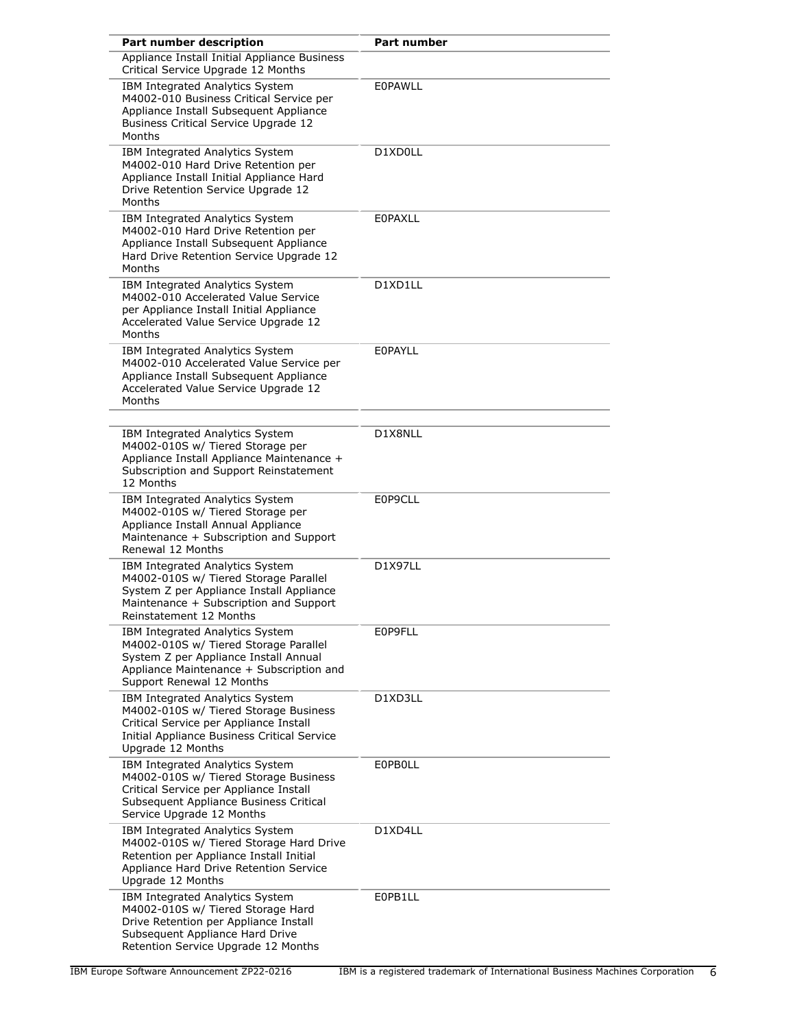| Part number description                                                                                                                                                                    | Part number    |
|--------------------------------------------------------------------------------------------------------------------------------------------------------------------------------------------|----------------|
| Appliance Install Initial Appliance Business<br>Critical Service Upgrade 12 Months                                                                                                         |                |
| IBM Integrated Analytics System<br>M4002-010 Business Critical Service per<br>Appliance Install Subsequent Appliance<br><b>Business Critical Service Upgrade 12</b><br>Months              | <b>EOPAWLL</b> |
| IBM Integrated Analytics System<br>M4002-010 Hard Drive Retention per<br>Appliance Install Initial Appliance Hard<br>Drive Retention Service Upgrade 12<br>Months                          | D1XD0LL        |
| IBM Integrated Analytics System<br>M4002-010 Hard Drive Retention per<br>Appliance Install Subsequent Appliance<br>Hard Drive Retention Service Upgrade 12<br>Months                       | <b>EOPAXLL</b> |
| IBM Integrated Analytics System<br>M4002-010 Accelerated Value Service<br>per Appliance Install Initial Appliance<br>Accelerated Value Service Upgrade 12<br>Months                        | D1XD1LL        |
| IBM Integrated Analytics System<br>M4002-010 Accelerated Value Service per<br>Appliance Install Subsequent Appliance<br>Accelerated Value Service Upgrade 12<br>Months                     | <b>EOPAYLL</b> |
| IBM Integrated Analytics System<br>M4002-010S w/ Tiered Storage per<br>Appliance Install Appliance Maintenance +<br>Subscription and Support Reinstatement<br>12 Months                    | D1X8NLL        |
| IBM Integrated Analytics System<br>M4002-010S w/ Tiered Storage per<br>Appliance Install Annual Appliance<br>Maintenance + Subscription and Support<br>Renewal 12 Months                   | E0P9CLL        |
| IBM Integrated Analytics System<br>M4002-010S w/ Tiered Storage Parallel<br>System Z per Appliance Install Appliance<br>Maintenance + Subscription and Support<br>Reinstatement 12 Months  | <b>D1X97LL</b> |
| IBM Integrated Analytics System<br>M4002-010S w/ Tiered Storage Parallel<br>System Z per Appliance Install Annual<br>Appliance Maintenance + Subscription and<br>Support Renewal 12 Months | E0P9FLL        |
| IBM Integrated Analytics System<br>M4002-010S w/ Tiered Storage Business<br>Critical Service per Appliance Install<br>Initial Appliance Business Critical Service<br>Upgrade 12 Months     | D1XD3LL        |
| IBM Integrated Analytics System<br>M4002-010S w/ Tiered Storage Business<br>Critical Service per Appliance Install<br>Subsequent Appliance Business Critical<br>Service Upgrade 12 Months  | <b>EOPBOLL</b> |
| IBM Integrated Analytics System<br>M4002-010S w/ Tiered Storage Hard Drive<br>Retention per Appliance Install Initial<br>Appliance Hard Drive Retention Service<br>Upgrade 12 Months       | D1XD4LL        |
| IBM Integrated Analytics System<br>M4002-010S w/ Tiered Storage Hard<br>Drive Retention per Appliance Install<br>Subsequent Appliance Hard Drive<br>Retention Service Upgrade 12 Months    | E0PB1LL        |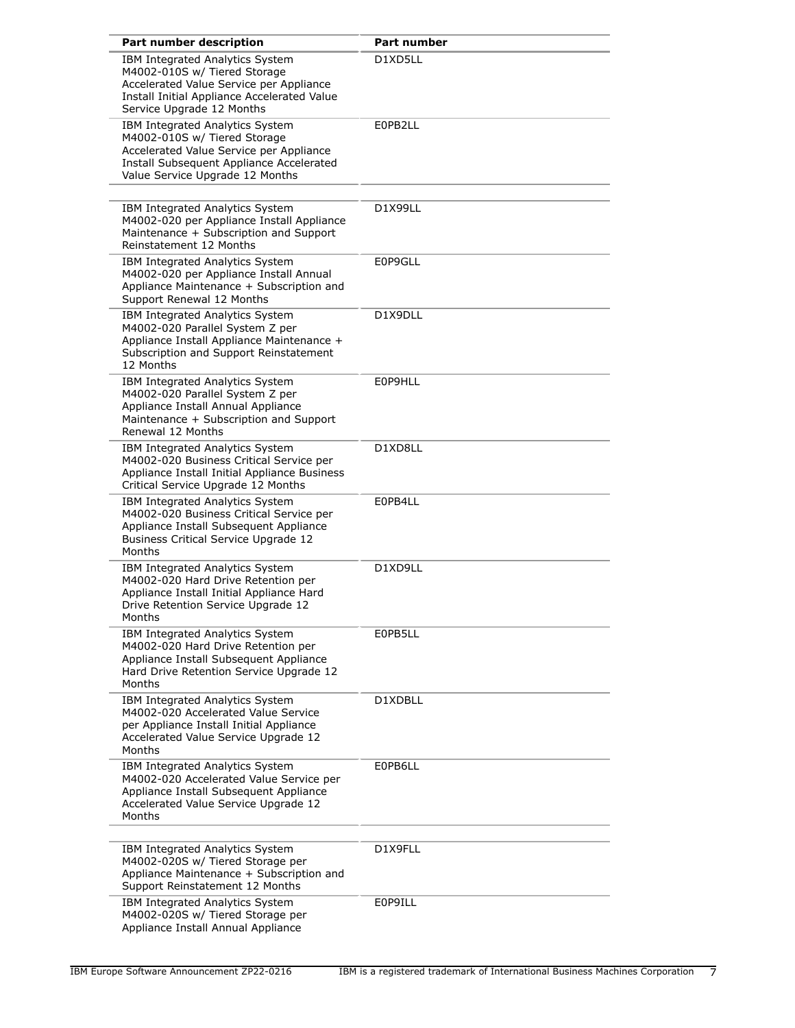| Part number description                                                                                                                                                                   | <b>Part number</b> |
|-------------------------------------------------------------------------------------------------------------------------------------------------------------------------------------------|--------------------|
| IBM Integrated Analytics System<br>M4002-010S w/ Tiered Storage<br>Accelerated Value Service per Appliance<br>Install Initial Appliance Accelerated Value<br>Service Upgrade 12 Months    | D1XD5LL            |
| IBM Integrated Analytics System<br>M4002-010S w/ Tiered Storage<br>Accelerated Value Service per Appliance<br>Install Subsequent Appliance Accelerated<br>Value Service Upgrade 12 Months | E0PB2LL            |
| IBM Integrated Analytics System<br>M4002-020 per Appliance Install Appliance<br>Maintenance + Subscription and Support<br>Reinstatement 12 Months                                         | D1X99LL            |
| IBM Integrated Analytics System<br>M4002-020 per Appliance Install Annual<br>Appliance Maintenance + Subscription and<br>Support Renewal 12 Months                                        | E0P9GLL            |
| IBM Integrated Analytics System<br>M4002-020 Parallel System Z per<br>Appliance Install Appliance Maintenance +<br>Subscription and Support Reinstatement<br>12 Months                    | D1X9DLL            |
| IBM Integrated Analytics System<br>M4002-020 Parallel System Z per<br>Appliance Install Annual Appliance<br>Maintenance + Subscription and Support<br>Renewal 12 Months                   | E0P9HLL            |
| IBM Integrated Analytics System<br>M4002-020 Business Critical Service per<br>Appliance Install Initial Appliance Business<br>Critical Service Upgrade 12 Months                          | D1XD8LL            |
| IBM Integrated Analytics System<br>M4002-020 Business Critical Service per<br>Appliance Install Subsequent Appliance<br>Business Critical Service Upgrade 12<br>Months                    | E0PB4LL            |
| IBM Integrated Analytics System<br>M4002-020 Hard Drive Retention per<br>Appliance Install Initial Appliance Hard<br>Drive Retention Service Upgrade 12<br>Months                         | D1XD9LL            |
| IBM Integrated Analytics System<br>M4002-020 Hard Drive Retention per<br>Appliance Install Subsequent Appliance<br>Hard Drive Retention Service Upgrade 12<br>Months                      | E0PB5LL            |
| IBM Integrated Analytics System<br>M4002-020 Accelerated Value Service<br>per Appliance Install Initial Appliance<br>Accelerated Value Service Upgrade 12<br>Months                       | D1XDBLL            |
| IBM Integrated Analytics System<br>M4002-020 Accelerated Value Service per<br>Appliance Install Subsequent Appliance<br>Accelerated Value Service Upgrade 12<br>Months                    | E0PB6LL            |
| IBM Integrated Analytics System<br>M4002-020S w/ Tiered Storage per<br>Appliance Maintenance + Subscription and<br>Support Reinstatement 12 Months                                        | D1X9FLL            |
| IBM Integrated Analytics System<br>M4002-020S w/ Tiered Storage per<br>Appliance Install Annual Appliance                                                                                 | E0P9ILL            |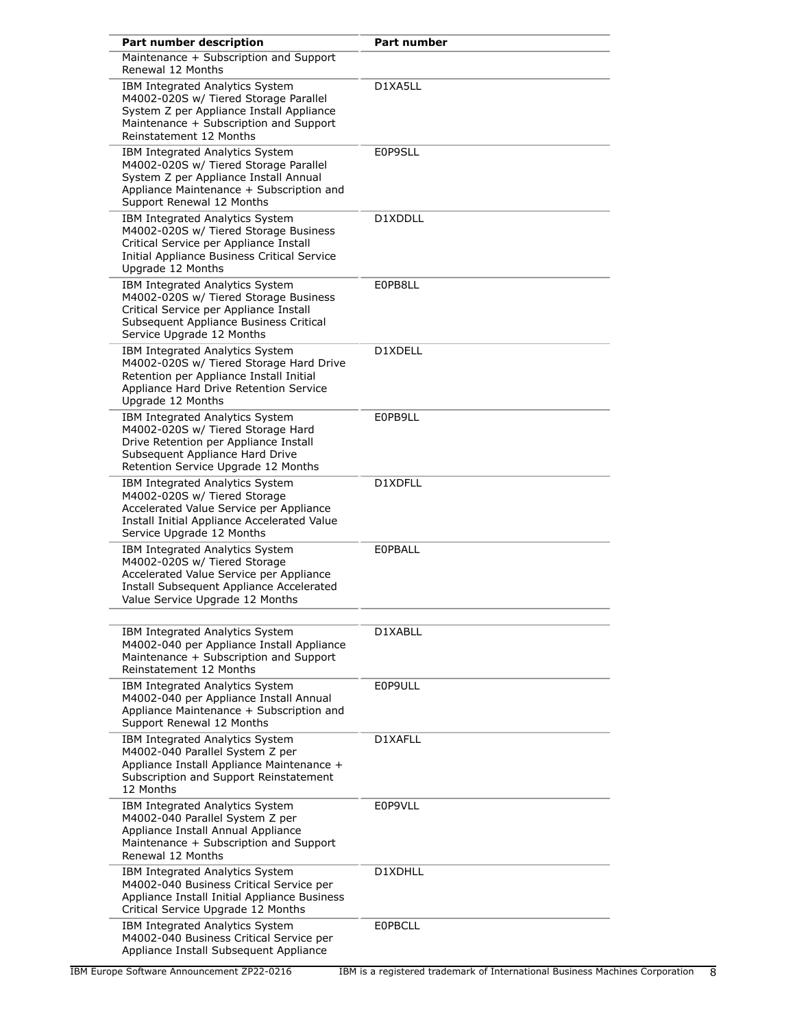| Part number description                                                                                                                                                                    | <b>Part number</b> |
|--------------------------------------------------------------------------------------------------------------------------------------------------------------------------------------------|--------------------|
| Maintenance + Subscription and Support<br>Renewal 12 Months                                                                                                                                |                    |
| IBM Integrated Analytics System<br>M4002-020S w/ Tiered Storage Parallel<br>System Z per Appliance Install Appliance<br>Maintenance + Subscription and Support<br>Reinstatement 12 Months  | D1XA5LL            |
| IBM Integrated Analytics System<br>M4002-020S w/ Tiered Storage Parallel<br>System Z per Appliance Install Annual<br>Appliance Maintenance + Subscription and<br>Support Renewal 12 Months | E0P9SLL            |
| IBM Integrated Analytics System<br>M4002-020S w/ Tiered Storage Business<br>Critical Service per Appliance Install<br>Initial Appliance Business Critical Service<br>Upgrade 12 Months     | D1XDDLL            |
| IBM Integrated Analytics System<br>M4002-020S w/ Tiered Storage Business<br>Critical Service per Appliance Install<br>Subsequent Appliance Business Critical<br>Service Upgrade 12 Months  | E0PB8LL            |
| IBM Integrated Analytics System<br>M4002-020S w/ Tiered Storage Hard Drive<br>Retention per Appliance Install Initial<br>Appliance Hard Drive Retention Service<br>Upgrade 12 Months       | D1XDELL            |
| IBM Integrated Analytics System<br>M4002-020S w/ Tiered Storage Hard<br>Drive Retention per Appliance Install<br>Subsequent Appliance Hard Drive<br>Retention Service Upgrade 12 Months    | E0PB9LL            |
| IBM Integrated Analytics System<br>M4002-020S w/ Tiered Storage<br>Accelerated Value Service per Appliance<br>Install Initial Appliance Accelerated Value<br>Service Upgrade 12 Months     | D1XDFLL            |
| IBM Integrated Analytics System<br>M4002-020S w/ Tiered Storage<br>Accelerated Value Service per Appliance<br>Install Subsequent Appliance Accelerated<br>Value Service Upgrade 12 Months  | <b>EOPBALL</b>     |
| IBM Integrated Analytics System<br>M4002-040 per Appliance Install Appliance<br>Maintenance + Subscription and Support<br>Reinstatement 12 Months                                          | D1XABLL            |
| IBM Integrated Analytics System<br>M4002-040 per Appliance Install Annual<br>Appliance Maintenance + Subscription and<br>Support Renewal 12 Months                                         | E0P9ULL            |
| IBM Integrated Analytics System<br>M4002-040 Parallel System Z per<br>Appliance Install Appliance Maintenance +<br>Subscription and Support Reinstatement<br>12 Months                     | D1XAFLL            |
| IBM Integrated Analytics System<br>M4002-040 Parallel System Z per<br>Appliance Install Annual Appliance<br>Maintenance + Subscription and Support<br>Renewal 12 Months                    | E0P9VLL            |
| IBM Integrated Analytics System<br>M4002-040 Business Critical Service per<br>Appliance Install Initial Appliance Business<br>Critical Service Upgrade 12 Months                           | D1XDHLL            |
| IBM Integrated Analytics System<br>M4002-040 Business Critical Service per<br>Appliance Install Subsequent Appliance                                                                       | <b>EOPBCLL</b>     |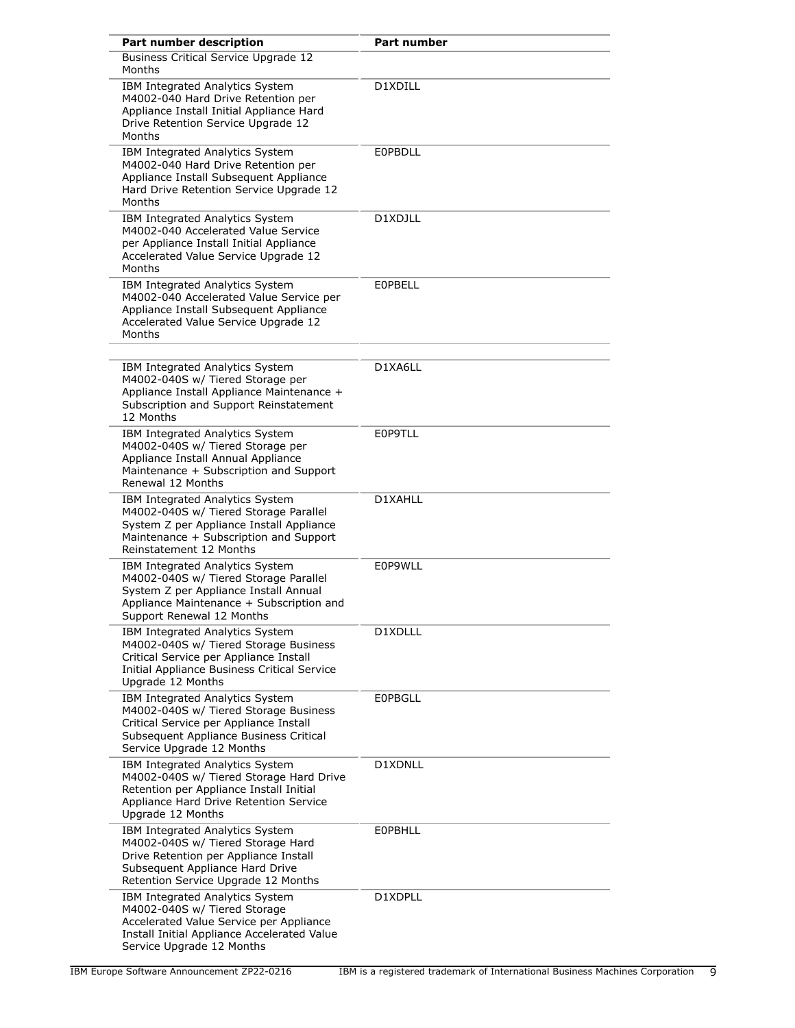| Part number description                                                                                                                                                                    | <b>Part number</b> |
|--------------------------------------------------------------------------------------------------------------------------------------------------------------------------------------------|--------------------|
| <b>Business Critical Service Upgrade 12</b><br>Months                                                                                                                                      |                    |
| IBM Integrated Analytics System<br>M4002-040 Hard Drive Retention per<br>Appliance Install Initial Appliance Hard<br>Drive Retention Service Upgrade 12<br>Months                          | D1XDILL            |
| IBM Integrated Analytics System<br>M4002-040 Hard Drive Retention per<br>Appliance Install Subsequent Appliance<br>Hard Drive Retention Service Upgrade 12<br>Months                       | <b>EOPBDLL</b>     |
| IBM Integrated Analytics System<br>M4002-040 Accelerated Value Service<br>per Appliance Install Initial Appliance<br>Accelerated Value Service Upgrade 12<br>Months                        | D1XDJLL            |
| IBM Integrated Analytics System<br>M4002-040 Accelerated Value Service per<br>Appliance Install Subsequent Appliance<br>Accelerated Value Service Upgrade 12<br>Months                     | <b>EOPBELL</b>     |
| IBM Integrated Analytics System<br>M4002-040S w/ Tiered Storage per<br>Appliance Install Appliance Maintenance +<br>Subscription and Support Reinstatement<br>12 Months                    | D1XA6LL            |
| IBM Integrated Analytics System<br>M4002-040S w/ Tiered Storage per<br>Appliance Install Annual Appliance<br>Maintenance + Subscription and Support<br>Renewal 12 Months                   | E0P9TLL            |
| IBM Integrated Analytics System<br>M4002-040S w/ Tiered Storage Parallel<br>System Z per Appliance Install Appliance<br>Maintenance + Subscription and Support<br>Reinstatement 12 Months  | D1XAHLL            |
| IBM Integrated Analytics System<br>M4002-040S w/ Tiered Storage Parallel<br>System Z per Appliance Install Annual<br>Appliance Maintenance + Subscription and<br>Support Renewal 12 Months | E0P9WLL            |
| IBM Integrated Analytics System<br>M4002-040S w/ Tiered Storage Business<br>Critical Service per Appliance Install<br>Initial Appliance Business Critical Service<br>Upgrade 12 Months     | D1XDLLL            |
| IBM Integrated Analytics System<br>M4002-040S w/ Tiered Storage Business<br>Critical Service per Appliance Install<br>Subsequent Appliance Business Critical<br>Service Upgrade 12 Months  | <b>EOPBGLL</b>     |
| IBM Integrated Analytics System<br>M4002-040S w/ Tiered Storage Hard Drive<br>Retention per Appliance Install Initial<br>Appliance Hard Drive Retention Service<br>Upgrade 12 Months       | D1XDNLL            |
| IBM Integrated Analytics System<br>M4002-040S w/ Tiered Storage Hard<br>Drive Retention per Appliance Install<br>Subsequent Appliance Hard Drive<br>Retention Service Upgrade 12 Months    | <b>EOPBHLL</b>     |
| IBM Integrated Analytics System<br>M4002-040S w/ Tiered Storage<br>Accelerated Value Service per Appliance<br>Install Initial Appliance Accelerated Value<br>Service Upgrade 12 Months     | D1XDPLL            |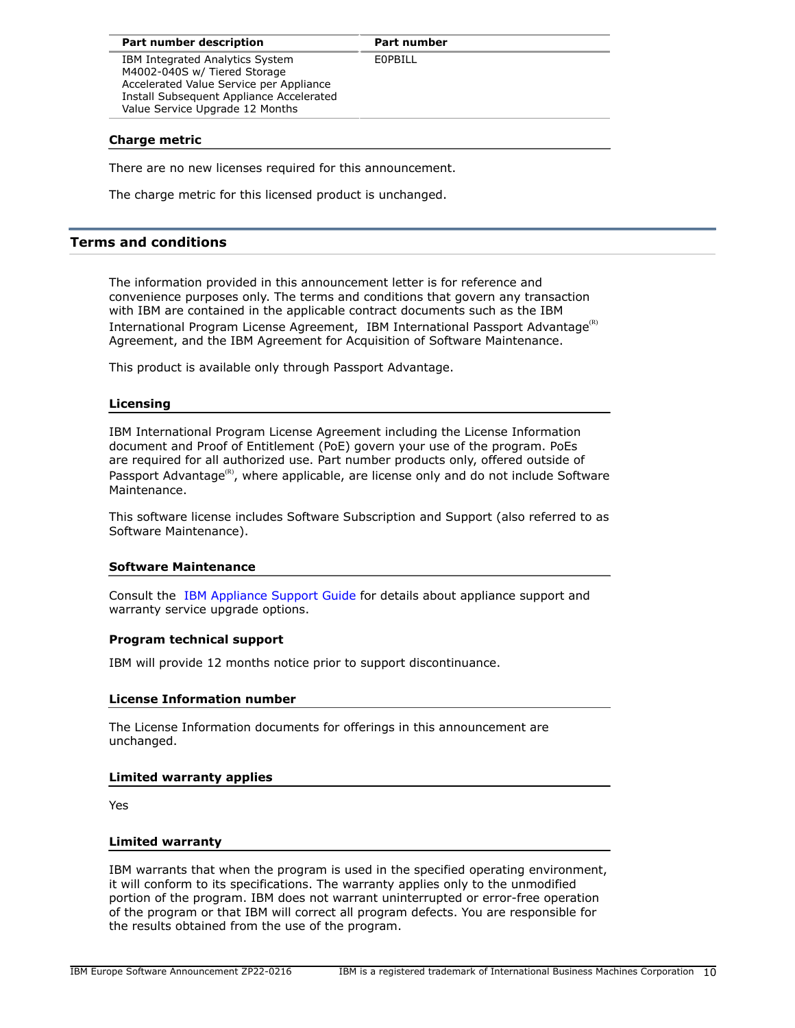**Part number** 

E0PBILL

IBM Integrated Analytics System M4002-040S w/ Tiered Storage Accelerated Value Service per Appliance Install Subsequent Appliance Accelerated Value Service Upgrade 12 Months

**Charge metric**

There are no new licenses required for this announcement.

The charge metric for this licensed product is unchanged.

# <span id="page-9-0"></span>**Terms and conditions**

The information provided in this announcement letter is for reference and convenience purposes only. The terms and conditions that govern any transaction with IBM are contained in the applicable contract documents such as the IBM International Program License Agreement, IBM International Passport Advantage<sup>(R)</sup> Agreement, and the IBM Agreement for Acquisition of Software Maintenance.

This product is available only through Passport Advantage.

# **Licensing**

IBM International Program License Agreement including the License Information document and Proof of Entitlement (PoE) govern your use of the program. PoEs are required for all authorized use. Part number products only, offered outside of Passport Advantage<sup>(R)</sup>, where applicable, are license only and do not include Software Maintenance.

This software license includes Software Subscription and Support (also referred to as Software Maintenance).

# **Software Maintenance**

Consult the [IBM Appliance Support Guide](http://www.ibm.com/software/appliance/support) for details about appliance support and warranty service upgrade options.

# **Program technical support**

IBM will provide 12 months notice prior to support discontinuance.

# **License Information number**

The License Information documents for offerings in this announcement are unchanged.

# **Limited warranty applies**

Yes

# **Limited warranty**

IBM warrants that when the program is used in the specified operating environment, it will conform to its specifications. The warranty applies only to the unmodified portion of the program. IBM does not warrant uninterrupted or error-free operation of the program or that IBM will correct all program defects. You are responsible for the results obtained from the use of the program.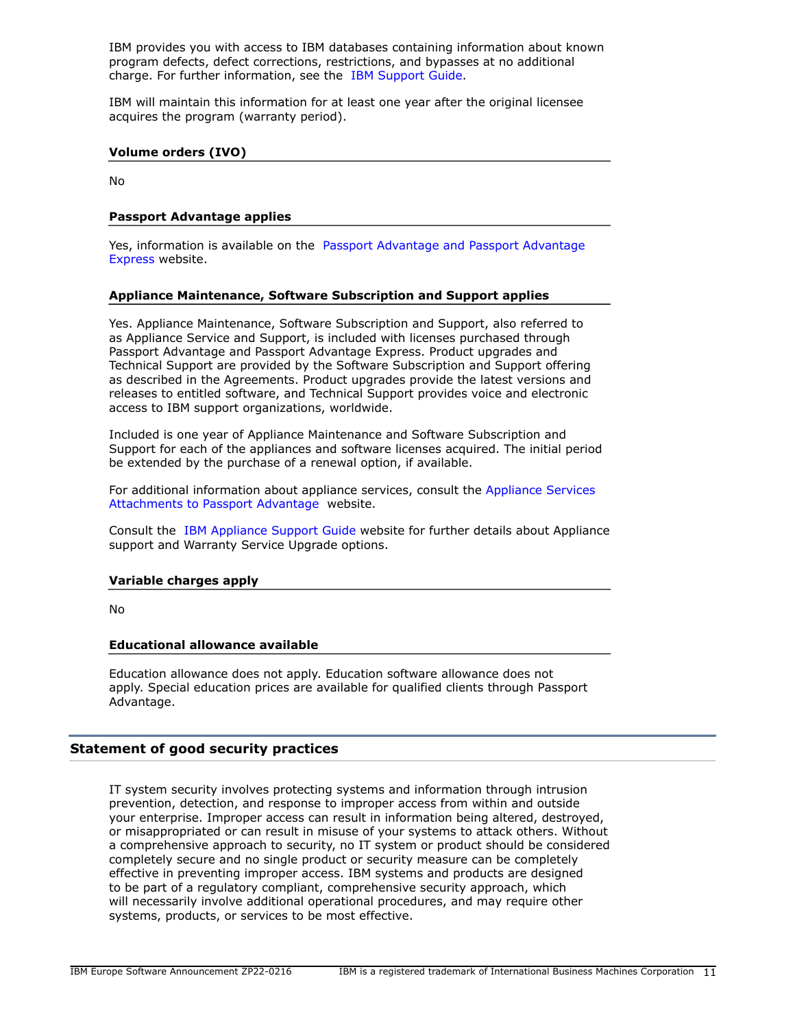IBM provides you with access to IBM databases containing information about known program defects, defect corrections, restrictions, and bypasses at no additional charge. For further information, see the [IBM Support Guide](http://www.ibm.com/support/customercare/sas/f/handbook/home.html).

IBM will maintain this information for at least one year after the original licensee acquires the program (warranty period).

#### **Volume orders (IVO)**

No

## **Passport Advantage applies**

Yes, information is available on the [Passport Advantage and Passport Advantage](http://www.ibm.com/software/passportadvantage) [Express](http://www.ibm.com/software/passportadvantage) website.

## **Appliance Maintenance, Software Subscription and Support applies**

Yes. Appliance Maintenance, Software Subscription and Support, also referred to as Appliance Service and Support, is included with licenses purchased through Passport Advantage and Passport Advantage Express. Product upgrades and Technical Support are provided by the Software Subscription and Support offering as described in the Agreements. Product upgrades provide the latest versions and releases to entitled software, and Technical Support provides voice and electronic access to IBM support organizations, worldwide.

Included is one year of Appliance Maintenance and Software Subscription and Support for each of the appliances and software licenses acquired. The initial period be extended by the purchase of a renewal option, if available.

For additional information about appliance services, consult the [Appliance Services](http://www.ibm.com/software/lotus/passportadvantage/agreementsandforms.html) [Attachments to Passport Advantage](http://www.ibm.com/software/lotus/passportadvantage/agreementsandforms.html) website.

Consult the [IBM Appliance Support Guide](http://www.ibm.com/software/appliance/support) website for further details about Appliance support and Warranty Service Upgrade options.

#### **Variable charges apply**

No

#### **Educational allowance available**

Education allowance does not apply. Education software allowance does not apply. Special education prices are available for qualified clients through Passport Advantage.

## **Statement of good security practices**

IT system security involves protecting systems and information through intrusion prevention, detection, and response to improper access from within and outside your enterprise. Improper access can result in information being altered, destroyed, or misappropriated or can result in misuse of your systems to attack others. Without a comprehensive approach to security, no IT system or product should be considered completely secure and no single product or security measure can be completely effective in preventing improper access. IBM systems and products are designed to be part of a regulatory compliant, comprehensive security approach, which will necessarily involve additional operational procedures, and may require other systems, products, or services to be most effective.